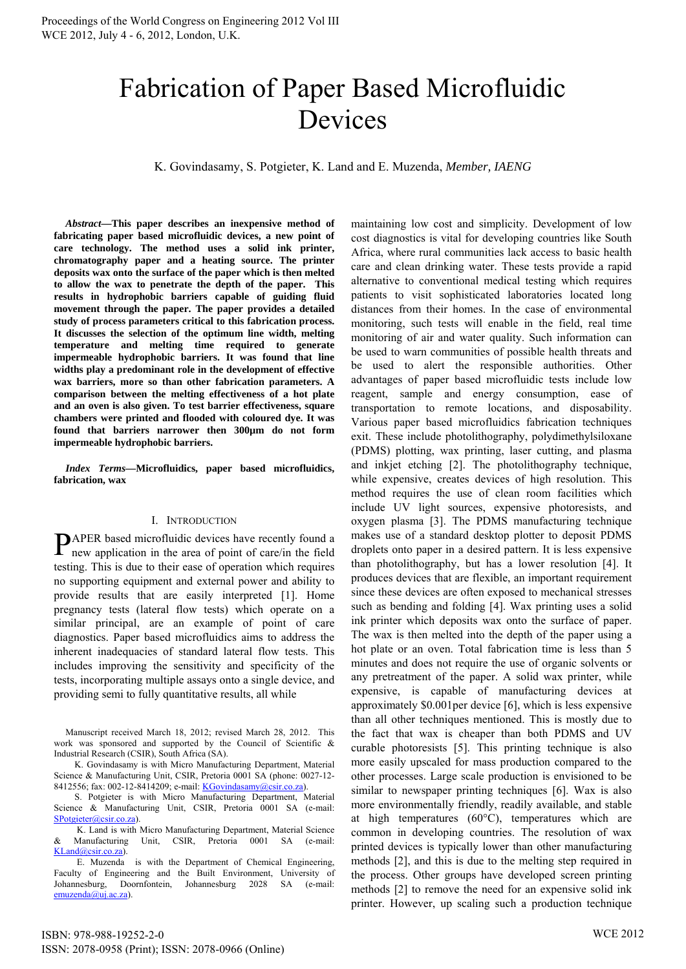# Fabrication of Paper Based Microfluidic Devices

K. Govindasamy, S. Potgieter, K. Land and E. Muzenda, *Member, IAENG*

*Abstract***—This paper describes an inexpensive method of fabricating paper based microfluidic devices, a new point of care technology. The method uses a solid ink printer, chromatography paper and a heating source. The printer deposits wax onto the surface of the paper which is then melted to allow the wax to penetrate the depth of the paper. This results in hydrophobic barriers capable of guiding fluid movement through the paper. The paper provides a detailed study of process parameters critical to this fabrication process. It discusses the selection of the optimum line width, melting temperature and melting time required to generate impermeable hydrophobic barriers. It was found that line widths play a predominant role in the development of effective wax barriers, more so than other fabrication parameters. A comparison between the melting effectiveness of a hot plate and an oven is also given. To test barrier effectiveness, square chambers were printed and flooded with coloured dye. It was found that barriers narrower then 300µm do not form impermeable hydrophobic barriers.** 

*Index Terms***—Microfluidics, paper based microfluidics, fabrication, wax** 

## I. INTRODUCTION

PAPER based microfluidic devices have recently found a new application in the area of point of care/in the field new application in the area of point of care/in the field testing. This is due to their ease of operation which requires no supporting equipment and external power and ability to provide results that are easily interpreted [1]. Home pregnancy tests (lateral flow tests) which operate on a similar principal, are an example of point of care diagnostics. Paper based microfluidics aims to address the inherent inadequacies of standard lateral flow tests. This includes improving the sensitivity and specificity of the tests, incorporating multiple assays onto a single device, and providing semi to fully quantitative results, all while

Manuscript received March 18, 2012; revised March 28, 2012. This work was sponsored and supported by the Council of Scientific & Industrial Research (CSIR), South Africa (SA).

 K. Govindasamy is with Micro Manufacturing Department, Material Science & Manufacturing Unit, CSIR, Pretoria 0001 SA (phone: 0027-12- 8412556; fax: 002-12-8414209; e-mail: KGovindasamy@csir.co.za).

 S. Potgieter is with Micro Manufacturing Department, Material Science & Manufacturing Unit, CSIR, Pretoria 0001 SA (e-mail: SPotgieter@csir.co.za).

 K. Land is with Micro Manufacturing Department, Material Science & Manufacturing Unit, CSIR, Pretoria 0001 SA (e-mail: KLand@csir.co.za).

 E. Muzenda is with the Department of Chemical Engineering, Faculty of Engineering and the Built Environment, University of Johannesburg, Doornfontein, Johannesburg 2028 SA (e-mail: emuzenda@uj.ac.za).

maintaining low cost and simplicity. Development of low cost diagnostics is vital for developing countries like South Africa, where rural communities lack access to basic health care and clean drinking water. These tests provide a rapid alternative to conventional medical testing which requires patients to visit sophisticated laboratories located long distances from their homes. In the case of environmental monitoring, such tests will enable in the field, real time monitoring of air and water quality. Such information can be used to warn communities of possible health threats and be used to alert the responsible authorities. Other advantages of paper based microfluidic tests include low reagent, sample and energy consumption, ease of transportation to remote locations, and disposability. Various paper based microfluidics fabrication techniques exit. These include photolithography, polydimethylsiloxane (PDMS) plotting, wax printing, laser cutting, and plasma and inkjet etching [2]. The photolithography technique, while expensive, creates devices of high resolution. This method requires the use of clean room facilities which include UV light sources, expensive photoresists, and oxygen plasma [3]. The PDMS manufacturing technique makes use of a standard desktop plotter to deposit PDMS droplets onto paper in a desired pattern. It is less expensive than photolithography, but has a lower resolution [4]. It produces devices that are flexible, an important requirement since these devices are often exposed to mechanical stresses such as bending and folding [4]. Wax printing uses a solid ink printer which deposits wax onto the surface of paper. The wax is then melted into the depth of the paper using a hot plate or an oven. Total fabrication time is less than 5 minutes and does not require the use of organic solvents or any pretreatment of the paper. A solid wax printer, while expensive, is capable of manufacturing devices at approximately \$0.001per device [6], which is less expensive than all other techniques mentioned. This is mostly due to the fact that wax is cheaper than both PDMS and UV curable photoresists [5]. This printing technique is also more easily upscaled for mass production compared to the other processes. Large scale production is envisioned to be similar to newspaper printing techniques [6]. Wax is also more environmentally friendly, readily available, and stable at high temperatures (60°C), temperatures which are common in developing countries. The resolution of wax printed devices is typically lower than other manufacturing methods [2], and this is due to the melting step required in the process. Other groups have developed screen printing methods [2] to remove the need for an expensive solid ink printer. However, up scaling such a production technique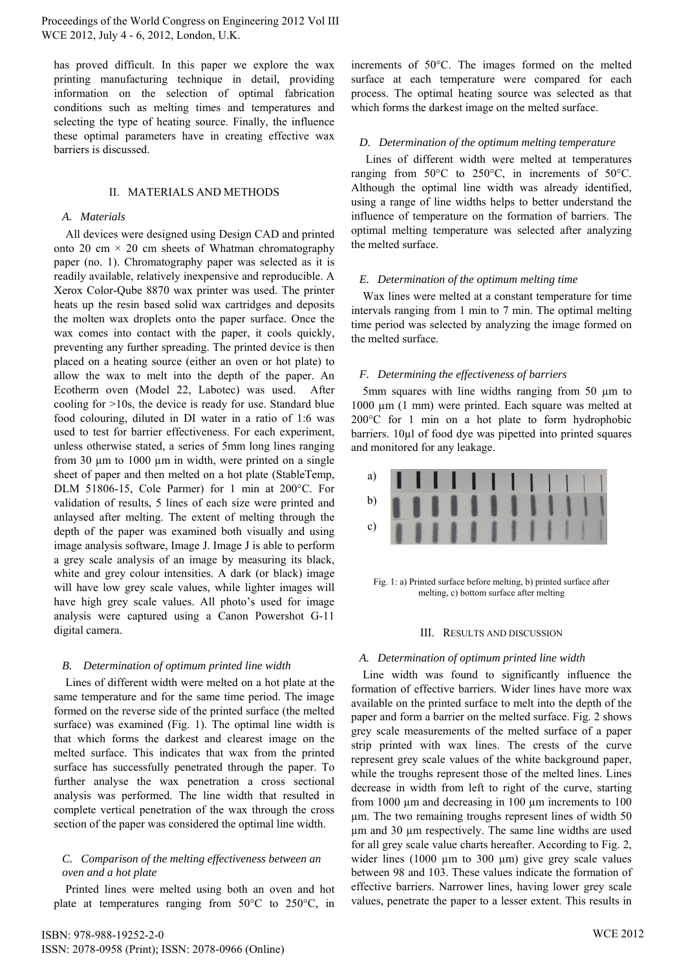Proceedings of the World Congress on Engineering 2012 Vol III WCE 2012, July 4 - 6, 2012, London, U.K.

has proved difficult. In this paper we explore the wax printing manufacturing technique in detail, providing information on the selection of optimal fabrication conditions such as melting times and temperatures and selecting the type of heating source. Finally, the influence these optimal parameters have in creating effective wax barriers is discussed.

#### II. MATERIALS AND METHODS

#### *A. Materials*

All devices were designed using Design CAD and printed onto 20 cm  $\times$  20 cm sheets of Whatman chromatography paper (no. 1). Chromatography paper was selected as it is readily available, relatively inexpensive and reproducible. A Xerox Color-Qube 8870 wax printer was used. The printer heats up the resin based solid wax cartridges and deposits the molten wax droplets onto the paper surface. Once the wax comes into contact with the paper, it cools quickly, preventing any further spreading. The printed device is then placed on a heating source (either an oven or hot plate) to allow the wax to melt into the depth of the paper. An Ecotherm oven (Model 22, Labotec) was used. After cooling for >10s, the device is ready for use. Standard blue food colouring, diluted in DI water in a ratio of 1:6 was used to test for barrier effectiveness. For each experiment, unless otherwise stated, a series of 5mm long lines ranging from 30  $\mu$ m to 1000  $\mu$ m in width, were printed on a single sheet of paper and then melted on a hot plate (StableTemp, DLM 51806-15, Cole Parmer) for 1 min at 200°C. For validation of results, 5 lines of each size were printed and anlaysed after melting. The extent of melting through the depth of the paper was examined both visually and using image analysis software, Image J. Image J is able to perform a grey scale analysis of an image by measuring its black, white and grey colour intensities. A dark (or black) image will have low grey scale values, while lighter images will have high grey scale values. All photo's used for image analysis were captured using a Canon Powershot G-11 digital camera.

# *B. Determination of optimum printed line width*

Lines of different width were melted on a hot plate at the same temperature and for the same time period. The image formed on the reverse side of the printed surface (the melted surface) was examined (Fig. 1). The optimal line width is that which forms the darkest and clearest image on the melted surface. This indicates that wax from the printed surface has successfully penetrated through the paper. To further analyse the wax penetration a cross sectional analysis was performed. The line width that resulted in complete vertical penetration of the wax through the cross section of the paper was considered the optimal line width.

# *C. Comparison of the melting effectiveness between an oven and a hot plate*

Printed lines were melted using both an oven and hot plate at temperatures ranging from 50°C to 250°C, in increments of 50°C. The images formed on the melted surface at each temperature were compared for each process. The optimal heating source was selected as that which forms the darkest image on the melted surface.

# *D. Determination of the optimum melting temperature*

Lines of different width were melted at temperatures ranging from 50°C to 250°C, in increments of 50°C. Although the optimal line width was already identified, using a range of line widths helps to better understand the influence of temperature on the formation of barriers. The optimal melting temperature was selected after analyzing the melted surface.

## *E. Determination of the optimum melting time*

Wax lines were melted at a constant temperature for time intervals ranging from 1 min to 7 min. The optimal melting time period was selected by analyzing the image formed on the melted surface.

# *F. Determining the effectiveness of barriers*

5mm squares with line widths ranging from 50 µm to 1000 µm (1 mm) were printed. Each square was melted at 200°C for 1 min on a hot plate to form hydrophobic barriers. 10µl of food dye was pipetted into printed squares and monitored for any leakage.



Fig. 1: a) Printed surface before melting, b) printed surface after melting, c) bottom surface after melting

#### III. RESULTS AND DISCUSSION

# *A. Determination of optimum printed line width*

Line width was found to significantly influence the formation of effective barriers. Wider lines have more wax available on the printed surface to melt into the depth of the paper and form a barrier on the melted surface. Fig. 2 shows grey scale measurements of the melted surface of a paper strip printed with wax lines. The crests of the curve represent grey scale values of the white background paper, while the troughs represent those of the melted lines. Lines decrease in width from left to right of the curve, starting from 1000  $\mu$ m and decreasing in 100  $\mu$ m increments to 100 µm. The two remaining troughs represent lines of width 50 µm and 30 µm respectively. The same line widths are used for all grey scale value charts hereafter. According to Fig. 2, wider lines  $(1000 \mu m)$  to 300  $\mu$ m) give grey scale values between 98 and 103. These values indicate the formation of effective barriers. Narrower lines, having lower grey scale values, penetrate the paper to a lesser extent. This results in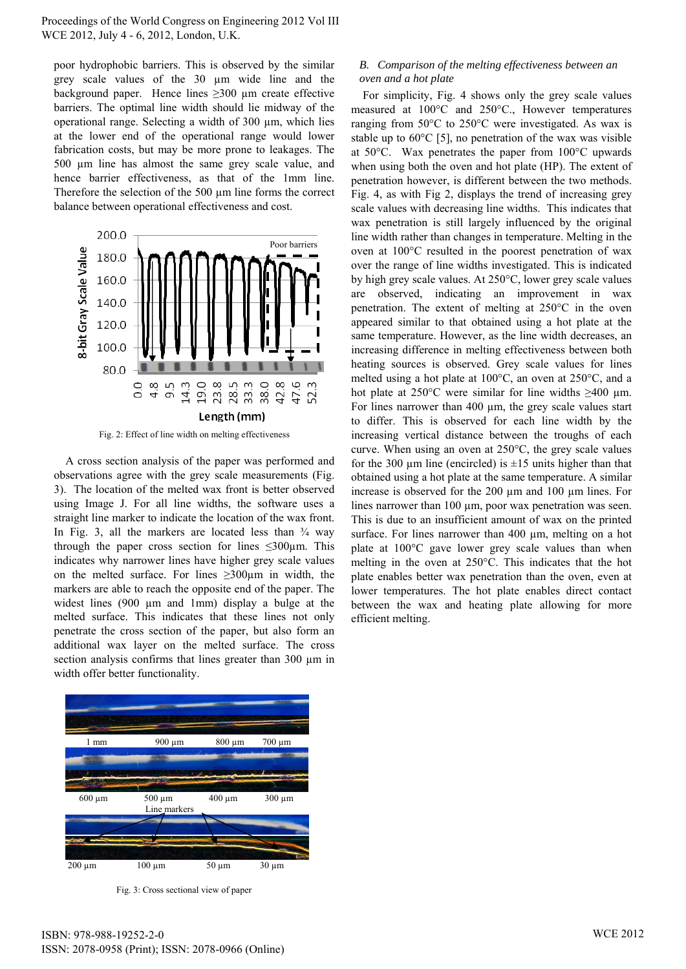Proceedings of the World Congress on Engineering 2012 Vol III WCE 2012, July 4 - 6, 2012, London, U.K.

poor hydrophobic barriers. This is observed by the similar grey scale values of the 30 µm wide line and the background paper. Hence lines  $\geq 300$  µm create effective barriers. The optimal line width should lie midway of the operational range. Selecting a width of 300 µm, which lies at the lower end of the operational range would lower fabrication costs, but may be more prone to leakages. The 500 µm line has almost the same grey scale value, and hence barrier effectiveness, as that of the 1mm line. Therefore the selection of the 500 µm line forms the correct balance between operational effectiveness and cost.



Fig. 2: Effect of line width on melting effectiveness

A cross section analysis of the paper was performed and observations agree with the grey scale measurements (Fig. 3). The location of the melted wax front is better observed using Image J. For all line widths, the software uses a straight line marker to indicate the location of the wax front. In Fig. 3, all the markers are located less than  $\frac{3}{4}$  way through the paper cross section for lines  $\leq 300 \mu$ m. This indicates why narrower lines have higher grey scale values on the melted surface. For lines  $\geq 300 \text{µm}$  in width, the markers are able to reach the opposite end of the paper. The widest lines (900 µm and 1mm) display a bulge at the melted surface. This indicates that these lines not only penetrate the cross section of the paper, but also form an additional wax layer on the melted surface. The cross section analysis confirms that lines greater than 300  $\mu$ m in width offer better functionality.



Fig. 3: Cross sectional view of paper

# *B. Comparison of the melting effectiveness between an oven and a hot plate*

For simplicity, Fig. 4 shows only the grey scale values measured at 100°C and 250°C., However temperatures ranging from 50°C to 250°C were investigated. As wax is stable up to  $60^{\circ}$ C [5], no penetration of the wax was visible at 50°C. Wax penetrates the paper from 100°C upwards when using both the oven and hot plate (HP). The extent of penetration however, is different between the two methods. Fig. 4, as with Fig 2, displays the trend of increasing grey scale values with decreasing line widths. This indicates that wax penetration is still largely influenced by the original line width rather than changes in temperature. Melting in the oven at 100°C resulted in the poorest penetration of wax over the range of line widths investigated. This is indicated by high grey scale values. At 250°C, lower grey scale values are observed, indicating an improvement in wax penetration. The extent of melting at 250°C in the oven appeared similar to that obtained using a hot plate at the same temperature. However, as the line width decreases, an increasing difference in melting effectiveness between both heating sources is observed. Grey scale values for lines melted using a hot plate at 100°C, an oven at 250°C, and a hot plate at 250°C were similar for line widths  $\geq 400$  µm. For lines narrower than 400 µm, the grey scale values start to differ. This is observed for each line width by the increasing vertical distance between the troughs of each curve. When using an oven at 250°C, the grey scale values for the 300  $\mu$ m line (encircled) is  $\pm 15$  units higher than that obtained using a hot plate at the same temperature. A similar increase is observed for the 200 µm and 100 µm lines. For lines narrower than 100 μm, poor wax penetration was seen. This is due to an insufficient amount of wax on the printed surface. For lines narrower than 400  $\mu$ m, melting on a hot plate at 100°C gave lower grey scale values than when melting in the oven at 250°C. This indicates that the hot plate enables better wax penetration than the oven, even at lower temperatures. The hot plate enables direct contact between the wax and heating plate allowing for more efficient melting.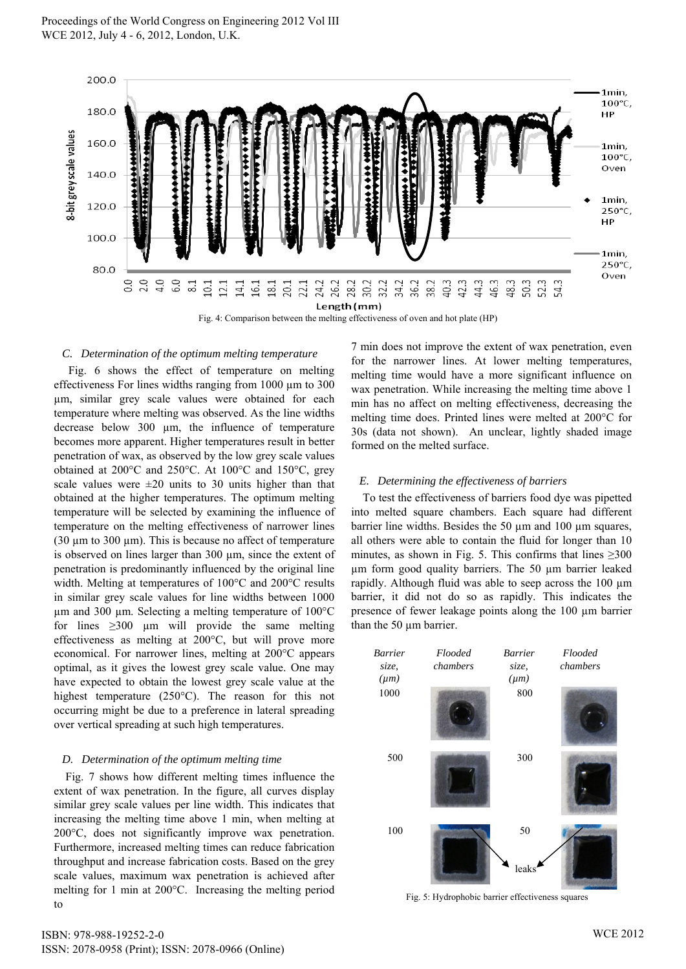

#### *C. Determination of the optimum melting temperature*

Fig. 6 shows the effect of temperature on melting effectiveness For lines widths ranging from 1000 µm to 300 µm, similar grey scale values were obtained for each temperature where melting was observed. As the line widths decrease below 300 µm, the influence of temperature becomes more apparent. Higher temperatures result in better penetration of wax, as observed by the low grey scale values obtained at 200°C and 250°C. At 100°C and 150°C, grey scale values were  $\pm 20$  units to 30 units higher than that obtained at the higher temperatures. The optimum melting temperature will be selected by examining the influence of temperature on the melting effectiveness of narrower lines (30  $\mu$ m to 300  $\mu$ m). This is because no affect of temperature is observed on lines larger than 300 µm, since the extent of penetration is predominantly influenced by the original line width. Melting at temperatures of 100°C and 200°C results in similar grey scale values for line widths between 1000  $\mu$ m and 300  $\mu$ m. Selecting a melting temperature of 100 $^{\circ}$ C for lines  $\geq 300$  µm will provide the same melting effectiveness as melting at 200°C, but will prove more economical. For narrower lines, melting at 200°C appears optimal, as it gives the lowest grey scale value. One may have expected to obtain the lowest grey scale value at the highest temperature (250°C). The reason for this not occurring might be due to a preference in lateral spreading over vertical spreading at such high temperatures.

# *D. Determination of the optimum melting time*

Fig. 7 shows how different melting times influence the extent of wax penetration. In the figure, all curves display similar grey scale values per line width. This indicates that increasing the melting time above 1 min, when melting at 200°C, does not significantly improve wax penetration. Furthermore, increased melting times can reduce fabrication throughput and increase fabrication costs. Based on the grey scale values, maximum wax penetration is achieved after melting for 1 min at 200°C. Increasing the melting period to

7 min does not improve the extent of wax penetration, even for the narrower lines. At lower melting temperatures, melting time would have a more significant influence on wax penetration. While increasing the melting time above 1 min has no affect on melting effectiveness, decreasing the melting time does. Printed lines were melted at 200°C for 30s (data not shown). An unclear, lightly shaded image formed on the melted surface.

#### *E. Determining the effectiveness of barriers*

To test the effectiveness of barriers food dye was pipetted into melted square chambers. Each square had different barrier line widths. Besides the 50  $\mu$ m and 100  $\mu$ m squares, all others were able to contain the fluid for longer than 10 minutes, as shown in Fig. 5. This confirms that lines  $\geq 300$ µm form good quality barriers. The 50 µm barrier leaked rapidly. Although fluid was able to seep across the 100 µm barrier, it did not do so as rapidly. This indicates the presence of fewer leakage points along the 100 µm barrier than the 50  $\mu$ m barrier.



Fig. 5: Hydrophobic barrier effectiveness squares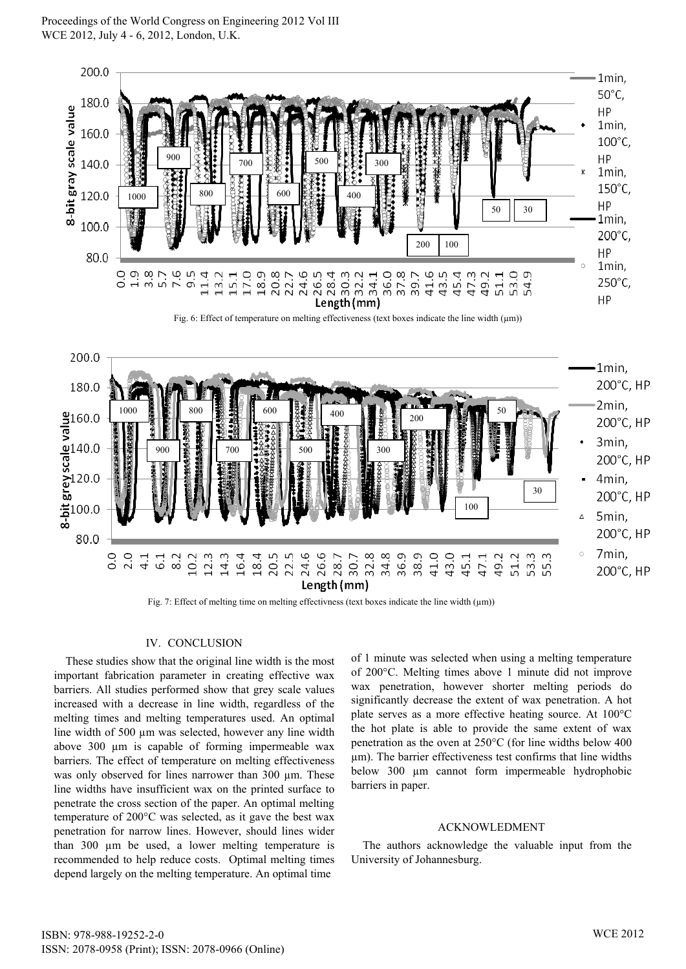

#### IV. CONCLUSION

These studies show that the original line width is the most important fabrication parameter in creating effective wax barriers. All studies performed show that grey scale values increased with a decrease in line width, regardless of the melting times and melting temperatures used. An optimal line width of 500 µm was selected, however any line width above 300 µm is capable of forming impermeable wax barriers. The effect of temperature on melting effectiveness was only observed for lines narrower than 300 µm. These line widths have insufficient wax on the printed surface to penetrate the cross section of the paper. An optimal melting temperature of 200°C was selected, as it gave the best wax penetration for narrow lines. However, should lines wider than 300 µm be used, a lower melting temperature is recommended to help reduce costs. Optimal melting times depend largely on the melting temperature. An optimal time

of 1 minute was selected when using a melting temperature of 200°C. Melting times above 1 minute did not improve wax penetration, however shorter melting periods do significantly decrease the extent of wax penetration. A hot plate serves as a more effective heating source. At 100°C the hot plate is able to provide the same extent of wax penetration as the oven at 250°C (for line widths below 400 µm). The barrier effectiveness test confirms that line widths below 300 µm cannot form impermeable hydrophobic barriers in paper.

# ACKNOWLEDMENT

The authors acknowledge the valuable input from the University of Johannesburg.